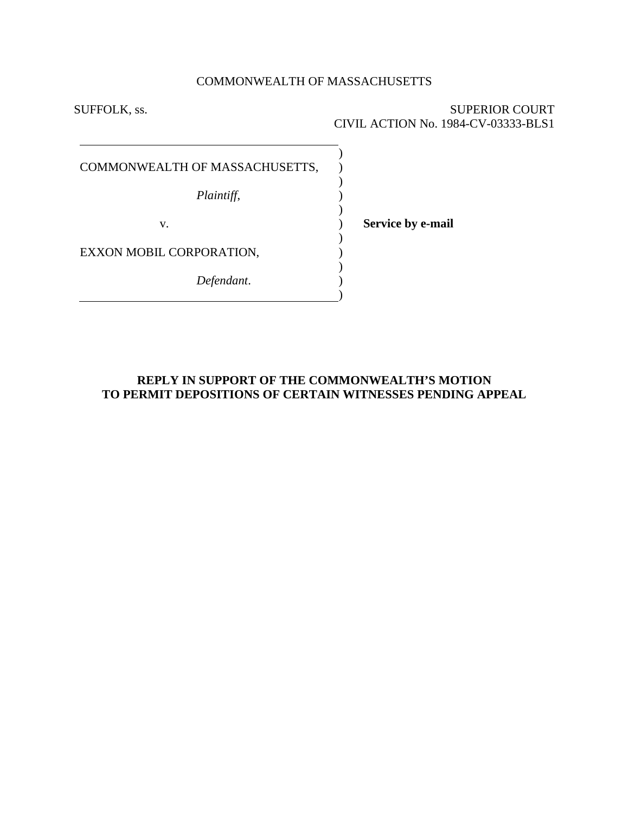# COMMONWEALTH OF MASSACHUSETTS

) ) ) ) ) ) ) ) ) ) )

SUFFOLK, ss. SUPERIOR COURT CIVIL ACTION No. 1984-CV-03333-BLS1

COMMONWEALTH OF MASSACHUSETTS,

*Plaintiff*,

v.

**Service by e-mail**

EXXON MOBIL CORPORATION,

*Defendant*.

**REPLY IN SUPPORT OF THE COMMONWEALTH'S MOTION TO PERMIT DEPOSITIONS OF CERTAIN WITNESSES PENDING APPEAL**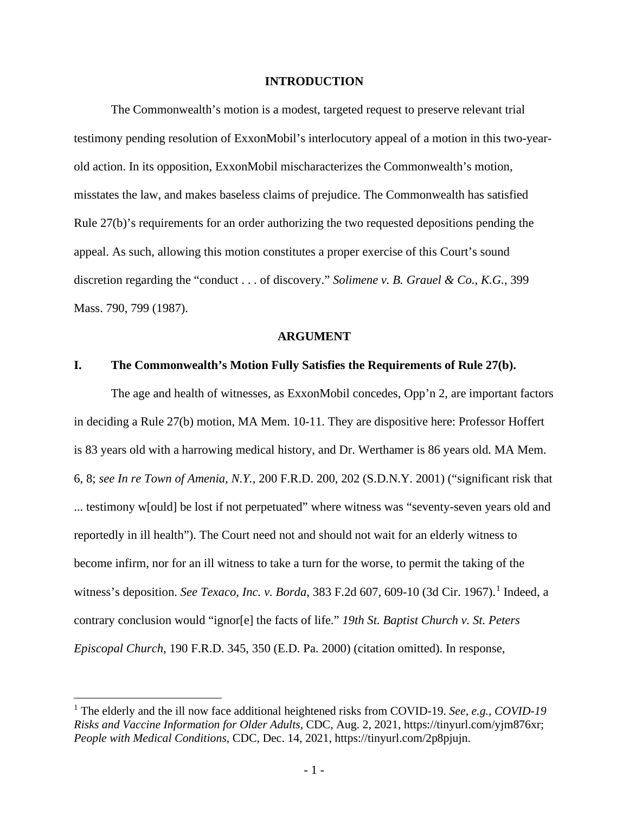#### **INTRODUCTION**

The Commonwealth's motion is a modest, targeted request to preserve relevant trial testimony pending resolution of ExxonMobil's interlocutory appeal of a motion in this two-yearold action. In its opposition, ExxonMobil mischaracterizes the Commonwealth's motion, misstates the law, and makes baseless claims of prejudice. The Commonwealth has satisfied Rule 27(b)'s requirements for an order authorizing the two requested depositions pending the appeal. As such, allowing this motion constitutes a proper exercise of this Court's sound discretion regarding the "conduct . . . of discovery." *Solimene v. B. Grauel & Co., K.G.*, 399 Mass. 790, 799 (1987).

#### **ARGUMENT**

#### **I. The Commonwealth's Motion Fully Satisfies the Requirements of Rule 27(b).**

The age and health of witnesses, as ExxonMobil concedes, Opp'n 2, are important factors in deciding a Rule 27(b) motion, MA Mem. 10-11. They are dispositive here: Professor Hoffert is 83 years old with a harrowing medical history, and Dr. Werthamer is 86 years old. MA Mem. 6, 8; *see In re Town of Amenia, N.Y.*, 200 F.R.D. 200, 202 (S.D.N.Y. 2001) ("significant risk that ... testimony w[ould] be lost if not perpetuated" where witness was "seventy-seven years old and reportedly in ill health"). The Court need not and should not wait for an elderly witness to become infirm, nor for an ill witness to take a turn for the worse, to permit the taking of the witness's deposition. *See Texaco, Inc. v. Borda*, 383 F.2d 607, 609-10 (3d Cir. 1967). [1](#page-1-0) Indeed, a contrary conclusion would "ignor[e] the facts of life." *19th St. Baptist Church v. St. Peters Episcopal Church*, 190 F.R.D. 345, 350 (E.D. Pa. 2000) (citation omitted). In response,

<span id="page-1-0"></span><sup>1</sup> The elderly and the ill now face additional heightened risks from COVID-19. *See, e.g.*, *COVID-19 Risks and Vaccine Information for Older Adults*, CDC, Aug. 2, 2021, [https://tinyurl.com/yjm876xr;](https://tinyurl.com/yjm876xr) *People with Medical Conditions*, CDC, Dec. 14, 2021, https://tinyurl.com/2p8pjujn.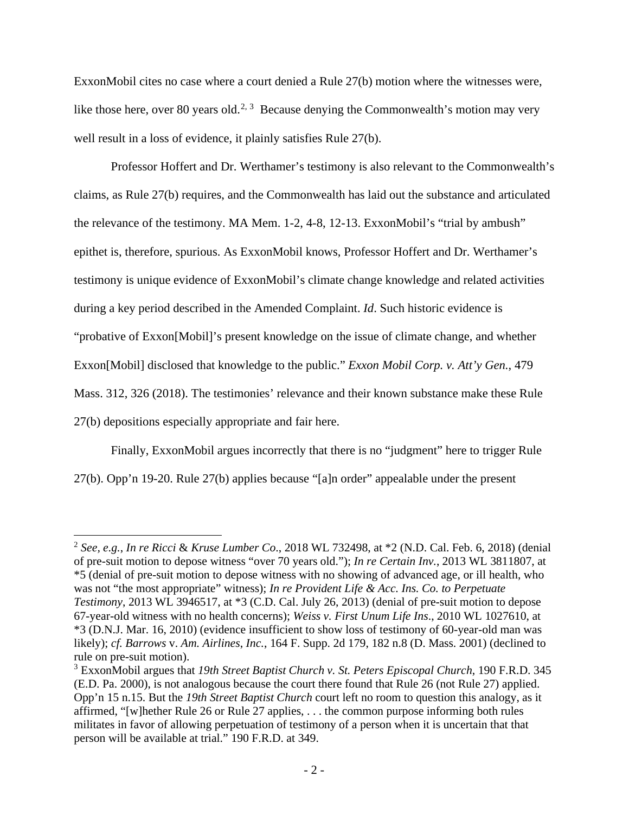ExxonMobil cites no case where a court denied a Rule 27(b) motion where the witnesses were, like those here, over 80 years old.<sup>[2](#page-2-0), [3](#page-2-1)</sup> Because denying the Commonwealth's motion may very well result in a loss of evidence, it plainly satisfies Rule 27(b).

Professor Hoffert and Dr. Werthamer's testimony is also relevant to the Commonwealth's claims, as Rule 27(b) requires, and the Commonwealth has laid out the substance and articulated the relevance of the testimony. MA Mem. 1-2, 4-8, 12-13. ExxonMobil's "trial by ambush" epithet is, therefore, spurious. As ExxonMobil knows, Professor Hoffert and Dr. Werthamer's testimony is unique evidence of ExxonMobil's climate change knowledge and related activities during a key period described in the Amended Complaint. *Id*. Such historic evidence is "probative of Exxon[Mobil]'s present knowledge on the issue of climate change, and whether Exxon[Mobil] disclosed that knowledge to the public." *Exxon Mobil Corp. v. Att'y Gen.*, 479 Mass. 312, 326 (2018). The testimonies' relevance and their known substance make these Rule 27(b) depositions especially appropriate and fair here.

Finally, ExxonMobil argues incorrectly that there is no "judgment" here to trigger Rule 27(b). Opp'n 19-20. Rule 27(b) applies because "[a]n order" appealable under the present

<span id="page-2-0"></span><sup>2</sup> *See, e.g.*, *In re Ricci* & *Kruse Lumber Co*., 2018 WL 732498, at \*2 (N.D. Cal. Feb. 6, 2018) (denial of pre-suit motion to depose witness "over 70 years old."); *In re Certain Inv.*, 2013 WL 3811807, at \*5 (denial of pre-suit motion to depose witness with no showing of advanced age, or ill health, who was not "the most appropriate" witness); *In re Provident Life & Acc. Ins. Co. to Perpetuate Testimony*, 2013 WL 3946517, at \*3 (C.D. Cal. July 26, 2013) (denial of pre-suit motion to depose 67-year-old witness with no health concerns); *Weiss v. First Unum Life Ins*., 2010 WL 1027610, at \*3 (D.N.J. Mar. 16, 2010) (evidence insufficient to show loss of testimony of 60-year-old man was likely); *cf. Barrows* v. *Am. Airlines*, *Inc.*, 164 F. Supp. 2d 179, 182 n.8 (D. Mass. 2001) (declined to rule on pre-suit motion).

<span id="page-2-1"></span><sup>3</sup> ExxonMobil argues that *19th Street Baptist Church v. St. Peters Episcopal Church*, 190 F.R.D. 345 (E.D. Pa. 2000), is not analogous because the court there found that Rule 26 (not Rule 27) applied. Opp'n 15 n.15. But the *19th Street Baptist Church* court left no room to question this analogy, as it affirmed, "[w]hether Rule 26 or Rule 27 applies, . . . the common purpose informing both rules militates in favor of allowing perpetuation of testimony of a person when it is uncertain that that person will be available at trial." 190 F.R.D. at 349.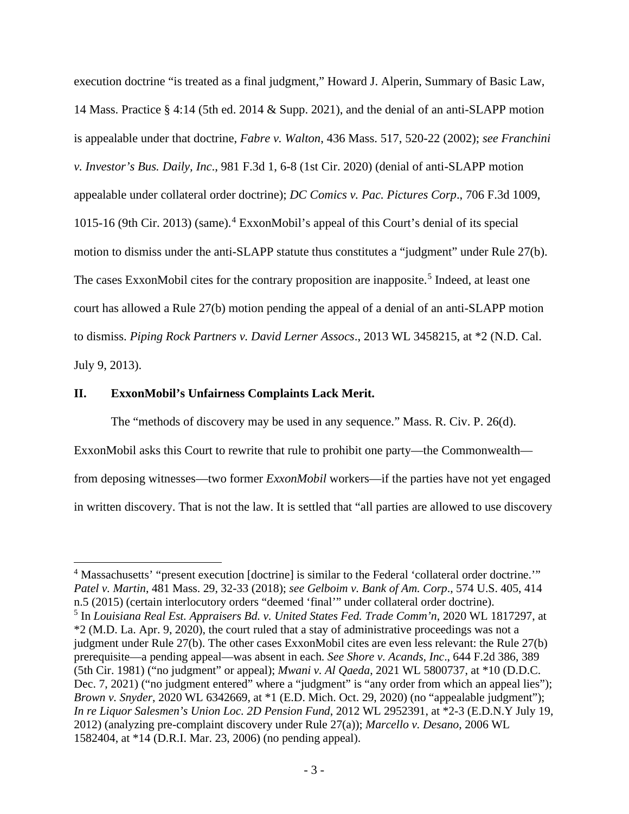execution doctrine "is treated as a final judgment," Howard J. Alperin, Summary of Basic Law, 14 Mass. Practice § 4:14 (5th ed. 2014 & Supp. 2021), and the denial of an anti-SLAPP motion is appealable under that doctrine, *Fabre v. Walton*, 436 Mass. 517, 520-22 (2002); *see Franchini v. Investor's Bus. Daily, Inc*., 981 F.3d 1, 6-8 (1st Cir. 2020) (denial of anti-SLAPP motion appealable under collateral order doctrine); *DC Comics v. Pac. Pictures Corp*., 706 F.3d 1009, 1015-16 (9th Cir. 2013) (same).[4](#page-3-0) ExxonMobil's appeal of this Court's denial of its special motion to dismiss under the anti-SLAPP statute thus constitutes a "judgment" under Rule 27(b). The cases ExxonMobil cites for the contrary proposition are inapposite.<sup>[5](#page-3-1)</sup> Indeed, at least one court has allowed a Rule 27(b) motion pending the appeal of a denial of an anti-SLAPP motion to dismiss. *Piping Rock Partners v. David Lerner Assocs*., 2013 WL 3458215, at \*2 (N.D. Cal. July 9, 2013).

## **II. ExxonMobil's Unfairness Complaints Lack Merit.**

The "methods of discovery may be used in any sequence." Mass. R. Civ. P. 26(d).

ExxonMobil asks this Court to rewrite that rule to prohibit one party—the Commonwealth—

from deposing witnesses—two former *ExxonMobil* workers—if the parties have not yet engaged

in written discovery. That is not the law. It is settled that "all parties are allowed to use discovery

<span id="page-3-0"></span><sup>4</sup> Massachusetts' "present execution [doctrine] is similar to the Federal 'collateral order doctrine.'" *Patel v. Martin*, 481 Mass. 29, 32-33 (2018); *see Gelboim v. Bank of Am. Corp*., 574 U.S. 405, 414 n.5 (2015) (certain interlocutory orders "deemed 'final'" under collateral order doctrine). <sup>5</sup> In *Louisiana Real Est. Appraisers Bd. v. United States Fed. Trade Comm'n*, 2020 WL 1817297, at

<span id="page-3-1"></span><sup>\*2 (</sup>M.D. La. Apr. 9, 2020), the court ruled that a stay of administrative proceedings was not a judgment under Rule 27(b). The other cases ExxonMobil cites are even less relevant: the Rule 27(b) prerequisite—a pending appeal—was absent in each. *See Shore v. Acands, Inc*., 644 F.2d 386, 389 (5th Cir. 1981) ("no judgment" or appeal); *Mwani v. Al Qaeda*, 2021 WL 5800737, at \*10 (D.D.C. Dec. 7, 2021) ("no judgment entered" where a "judgment" is "any order from which an appeal lies"); *Brown v. Snyder*, 2020 WL 6342669, at \*1 (E.D. Mich. Oct. 29, 2020) (no "appealable judgment"); *In re Liquor Salesmen's Union Loc. 2D Pension Fund*, 2012 WL 2952391, at \*2-3 (E.D.N.Y July 19, 2012) (analyzing pre-complaint discovery under Rule 27(a)); *Marcello v. Desano*, 2006 WL 1582404, at \*14 (D.R.I. Mar. 23, 2006) (no pending appeal).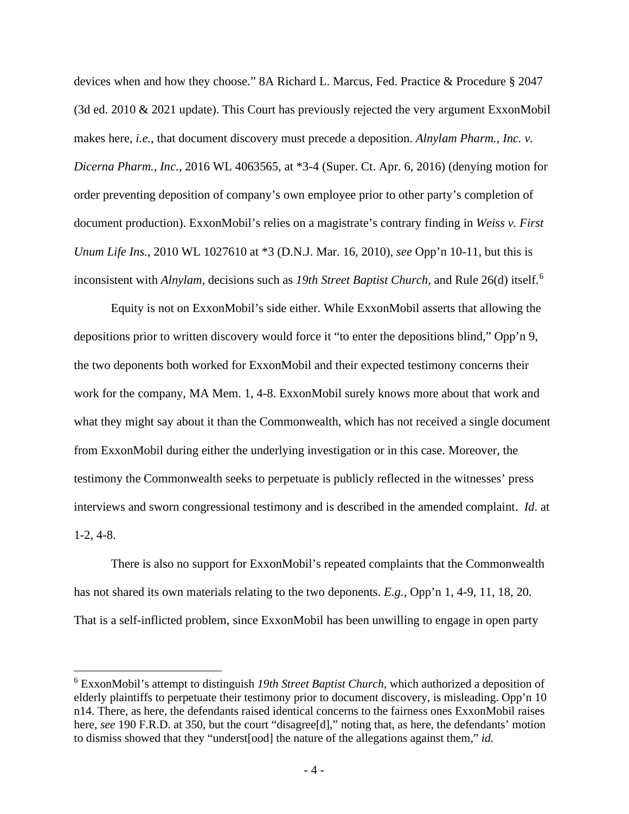devices when and how they choose." 8A Richard L. Marcus, Fed. Practice & Procedure § 2047 (3d ed. 2010 & 2021 update). This Court has previously rejected the very argument ExxonMobil makes here, *i.e.*, that document discovery must precede a deposition. *Alnylam Pharm., Inc. v. Dicerna Pharm., Inc.*, 2016 WL 4063565, at \*3-4 (Super. Ct. Apr. 6, 2016) (denying motion for order preventing deposition of company's own employee prior to other party's completion of document production). ExxonMobil's relies on a magistrate's contrary finding in *Weiss v. First Unum Life Ins.*, 2010 WL 1027610 at \*3 (D.N.J. Mar. 16, 2010), *see* Opp'n 10-11, but this is inconsistent with *Alnylam*, decisions such as *19th Street Baptist Church*, and Rule 26(d) itself. [6](#page-4-0)

Equity is not on ExxonMobil's side either. While ExxonMobil asserts that allowing the depositions prior to written discovery would force it "to enter the depositions blind," Opp'n 9, the two deponents both worked for ExxonMobil and their expected testimony concerns their work for the company, MA Mem. 1, 4-8. ExxonMobil surely knows more about that work and what they might say about it than the Commonwealth, which has not received a single document from ExxonMobil during either the underlying investigation or in this case. Moreover, the testimony the Commonwealth seeks to perpetuate is publicly reflected in the witnesses' press interviews and sworn congressional testimony and is described in the amended complaint. *Id*. at 1-2, 4-8.

There is also no support for ExxonMobil's repeated complaints that the Commonwealth has not shared its own materials relating to the two deponents. *E.g.*, Opp'n 1, 4-9, 11, 18, 20. That is a self-inflicted problem, since ExxonMobil has been unwilling to engage in open party

<span id="page-4-0"></span><sup>6</sup> ExxonMobil's attempt to distinguish *19th Street Baptist Church*, which authorized a deposition of elderly plaintiffs to perpetuate their testimony prior to document discovery, is misleading. Opp'n 10 n14. There, as here, the defendants raised identical concerns to the fairness ones ExxonMobil raises here, *see* 190 F.R.D. at 350, but the court "disagree<sup>[d]</sup>," noting that, as here, the defendants' motion to dismiss showed that they "underst[ood] the nature of the allegations against them," *id.*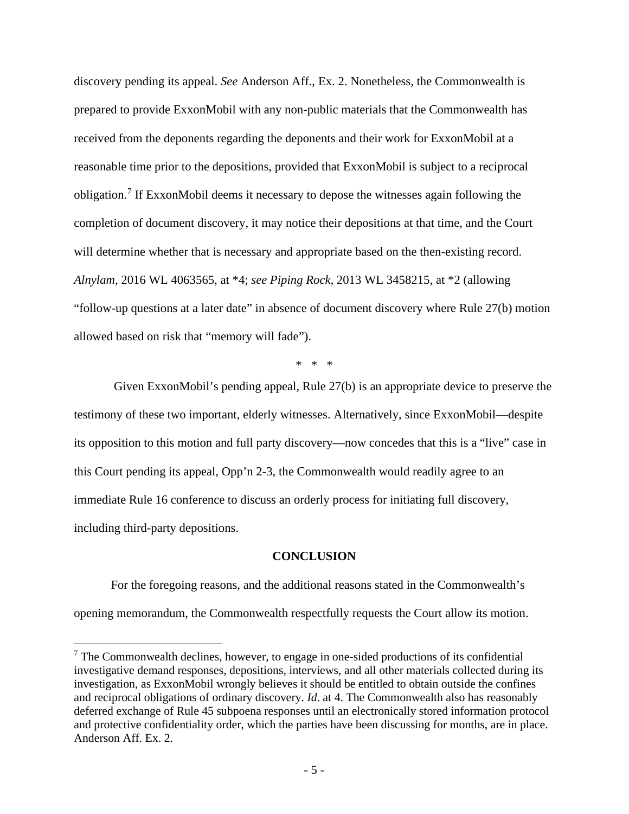discovery pending its appeal. *See* Anderson Aff., Ex. 2. Nonetheless, the Commonwealth is prepared to provide ExxonMobil with any non-public materials that the Commonwealth has received from the deponents regarding the deponents and their work for ExxonMobil at a reasonable time prior to the depositions, provided that ExxonMobil is subject to a reciprocal obligation. [7](#page-5-0) If ExxonMobil deems it necessary to depose the witnesses again following the completion of document discovery, it may notice their depositions at that time, and the Court will determine whether that is necessary and appropriate based on the then-existing record. *Alnylam*, 2016 WL 4063565, at \*4; *see Piping Rock*, 2013 WL 3458215, at \*2 (allowing "follow-up questions at a later date" in absence of document discovery where Rule 27(b) motion allowed based on risk that "memory will fade").

\* \* \*

Given ExxonMobil's pending appeal, Rule 27(b) is an appropriate device to preserve the testimony of these two important, elderly witnesses. Alternatively, since ExxonMobil—despite its opposition to this motion and full party discovery—now concedes that this is a "live" case in this Court pending its appeal, Opp'n 2-3, the Commonwealth would readily agree to an immediate Rule 16 conference to discuss an orderly process for initiating full discovery, including third-party depositions.

### **CONCLUSION**

For the foregoing reasons, and the additional reasons stated in the Commonwealth's opening memorandum, the Commonwealth respectfully requests the Court allow its motion.

<span id="page-5-0"></span> $<sup>7</sup>$  The Commonwealth declines, however, to engage in one-sided productions of its confidential</sup> investigative demand responses, depositions, interviews, and all other materials collected during its investigation, as ExxonMobil wrongly believes it should be entitled to obtain outside the confines and reciprocal obligations of ordinary discovery. *Id*. at 4. The Commonwealth also has reasonably deferred exchange of Rule 45 subpoena responses until an electronically stored information protocol and protective confidentiality order, which the parties have been discussing for months, are in place. Anderson Aff. Ex. 2.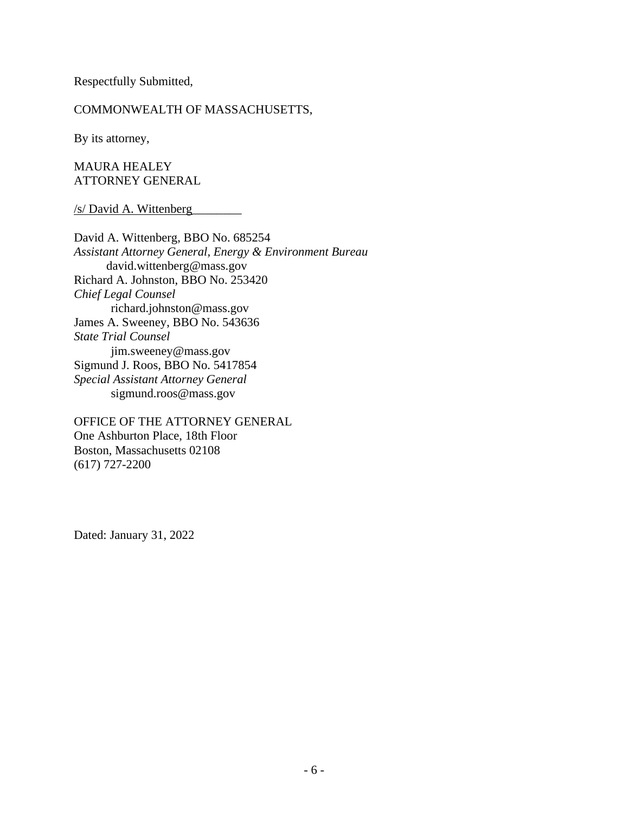Respectfully Submitted,

## COMMONWEALTH OF MASSACHUSETTS,

By its attorney,

MAURA HEALEY ATTORNEY GENERAL

/s/ David A. Wittenberg\_\_\_\_\_\_\_\_

David A. Wittenberg, BBO No. 685254 *Assistant Attorney General, Energy & Environment Bureau* david.wittenberg@mass.gov Richard A. Johnston, BBO No. 253420 *Chief Legal Counsel* richard.johnston@mass.gov James A. Sweeney, BBO No. 543636 *State Trial Counsel* jim.sweeney@mass.gov Sigmund J. Roos, BBO No. 5417854 *Special Assistant Attorney General* sigmund.roos@mass.gov

OFFICE OF THE ATTORNEY GENERAL One Ashburton Place, 18th Floor Boston, Massachusetts 02108 (617) 727-2200

Dated: January 31, 2022